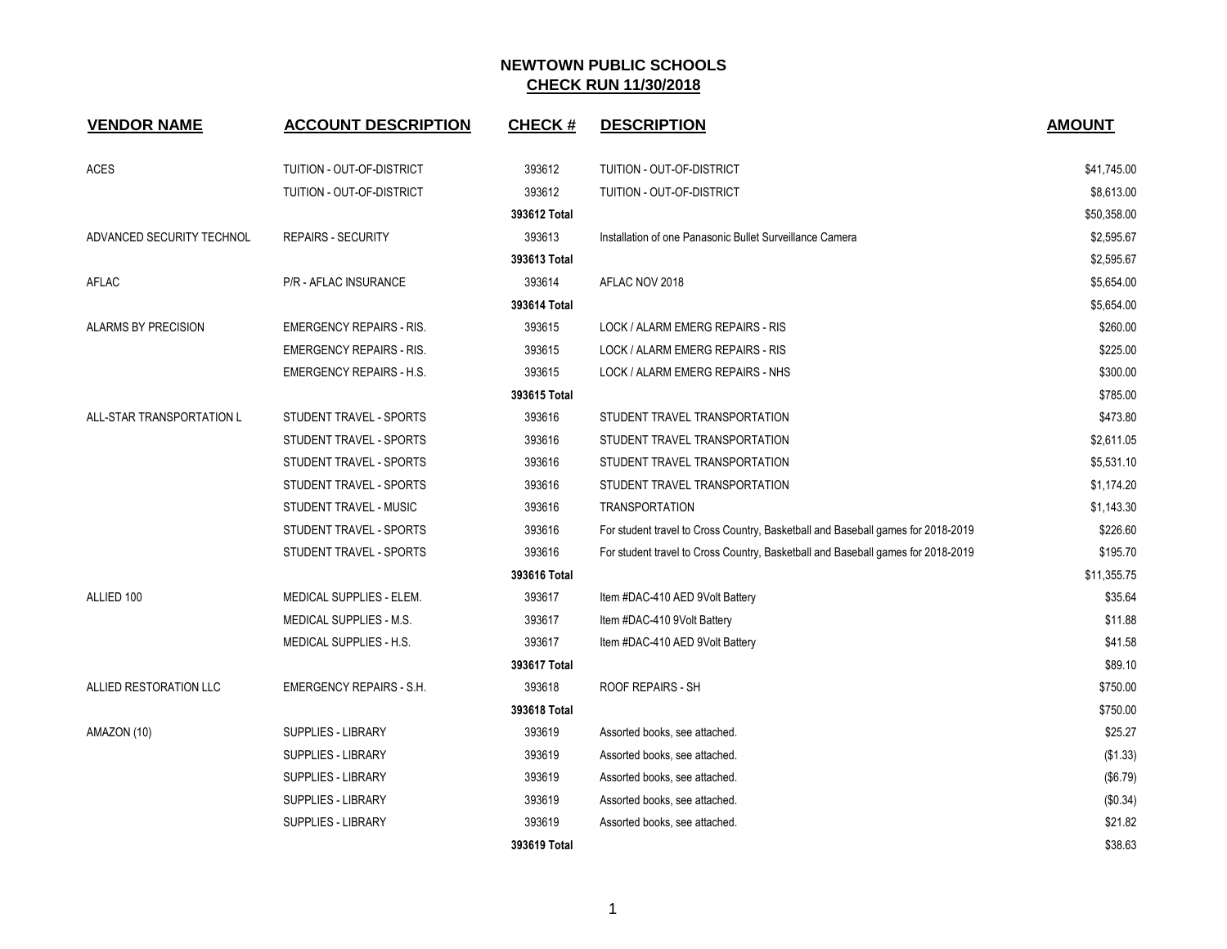| <b>VENDOR NAME</b>         | <b>ACCOUNT DESCRIPTION</b>      | <b>CHECK#</b> | <b>DESCRIPTION</b>                                                               | <b>AMOUNT</b> |
|----------------------------|---------------------------------|---------------|----------------------------------------------------------------------------------|---------------|
| <b>ACES</b>                | TUITION - OUT-OF-DISTRICT       | 393612        | TUITION - OUT-OF-DISTRICT                                                        | \$41,745.00   |
|                            | TUITION - OUT-OF-DISTRICT       | 393612        | TUITION - OUT-OF-DISTRICT                                                        | \$8,613.00    |
|                            |                                 | 393612 Total  |                                                                                  | \$50,358.00   |
| ADVANCED SECURITY TECHNOL  | <b>REPAIRS - SECURITY</b>       | 393613        | Installation of one Panasonic Bullet Surveillance Camera                         | \$2,595.67    |
|                            |                                 | 393613 Total  |                                                                                  | \$2,595.67    |
| <b>AFLAC</b>               | <b>P/R - AFLAC INSURANCE</b>    | 393614        | AFLAC NOV 2018                                                                   | \$5,654.00    |
|                            |                                 | 393614 Total  |                                                                                  | \$5,654.00    |
| <b>ALARMS BY PRECISION</b> | <b>EMERGENCY REPAIRS - RIS.</b> | 393615        | LOCK / ALARM EMERG REPAIRS - RIS                                                 | \$260.00      |
|                            | <b>EMERGENCY REPAIRS - RIS.</b> | 393615        | LOCK / ALARM EMERG REPAIRS - RIS                                                 | \$225.00      |
|                            | <b>EMERGENCY REPAIRS - H.S.</b> | 393615        | LOCK / ALARM EMERG REPAIRS - NHS                                                 | \$300.00      |
|                            |                                 | 393615 Total  |                                                                                  | \$785.00      |
| ALL-STAR TRANSPORTATION L  | STUDENT TRAVEL - SPORTS         | 393616        | STUDENT TRAVEL TRANSPORTATION                                                    | \$473.80      |
|                            | STUDENT TRAVEL - SPORTS         | 393616        | STUDENT TRAVEL TRANSPORTATION                                                    | \$2,611.05    |
|                            | STUDENT TRAVEL - SPORTS         | 393616        | STUDENT TRAVEL TRANSPORTATION                                                    | \$5,531.10    |
|                            | STUDENT TRAVEL - SPORTS         | 393616        | STUDENT TRAVEL TRANSPORTATION                                                    | \$1,174.20    |
|                            | STUDENT TRAVEL - MUSIC          | 393616        | <b>TRANSPORTATION</b>                                                            | \$1,143.30    |
|                            | STUDENT TRAVEL - SPORTS         | 393616        | For student travel to Cross Country, Basketball and Baseball games for 2018-2019 | \$226.60      |
|                            | STUDENT TRAVEL - SPORTS         | 393616        | For student travel to Cross Country, Basketball and Baseball games for 2018-2019 | \$195.70      |
|                            |                                 | 393616 Total  |                                                                                  | \$11,355.75   |
| ALLIED 100                 | MEDICAL SUPPLIES - ELEM.        | 393617        | Item #DAC-410 AED 9Volt Battery                                                  | \$35.64       |
|                            | MEDICAL SUPPLIES - M.S.         | 393617        | Item #DAC-410 9Volt Battery                                                      | \$11.88       |
|                            | MEDICAL SUPPLIES - H.S.         | 393617        | Item #DAC-410 AED 9Volt Battery                                                  | \$41.58       |
|                            |                                 | 393617 Total  |                                                                                  | \$89.10       |
| ALLIED RESTORATION LLC     | <b>EMERGENCY REPAIRS - S.H.</b> | 393618        | ROOF REPAIRS - SH                                                                | \$750.00      |
|                            |                                 | 393618 Total  |                                                                                  | \$750.00      |
| AMAZON (10)                | <b>SUPPLIES - LIBRARY</b>       | 393619        | Assorted books, see attached.                                                    | \$25.27       |
|                            | <b>SUPPLIES - LIBRARY</b>       | 393619        | Assorted books, see attached.                                                    | (\$1.33)      |
|                            | <b>SUPPLIES - LIBRARY</b>       | 393619        | Assorted books, see attached.                                                    | (\$6.79)      |
|                            | <b>SUPPLIES - LIBRARY</b>       | 393619        | Assorted books, see attached.                                                    | (\$0.34)      |
|                            | <b>SUPPLIES - LIBRARY</b>       | 393619        | Assorted books, see attached.                                                    | \$21.82       |
|                            |                                 | 393619 Total  |                                                                                  | \$38.63       |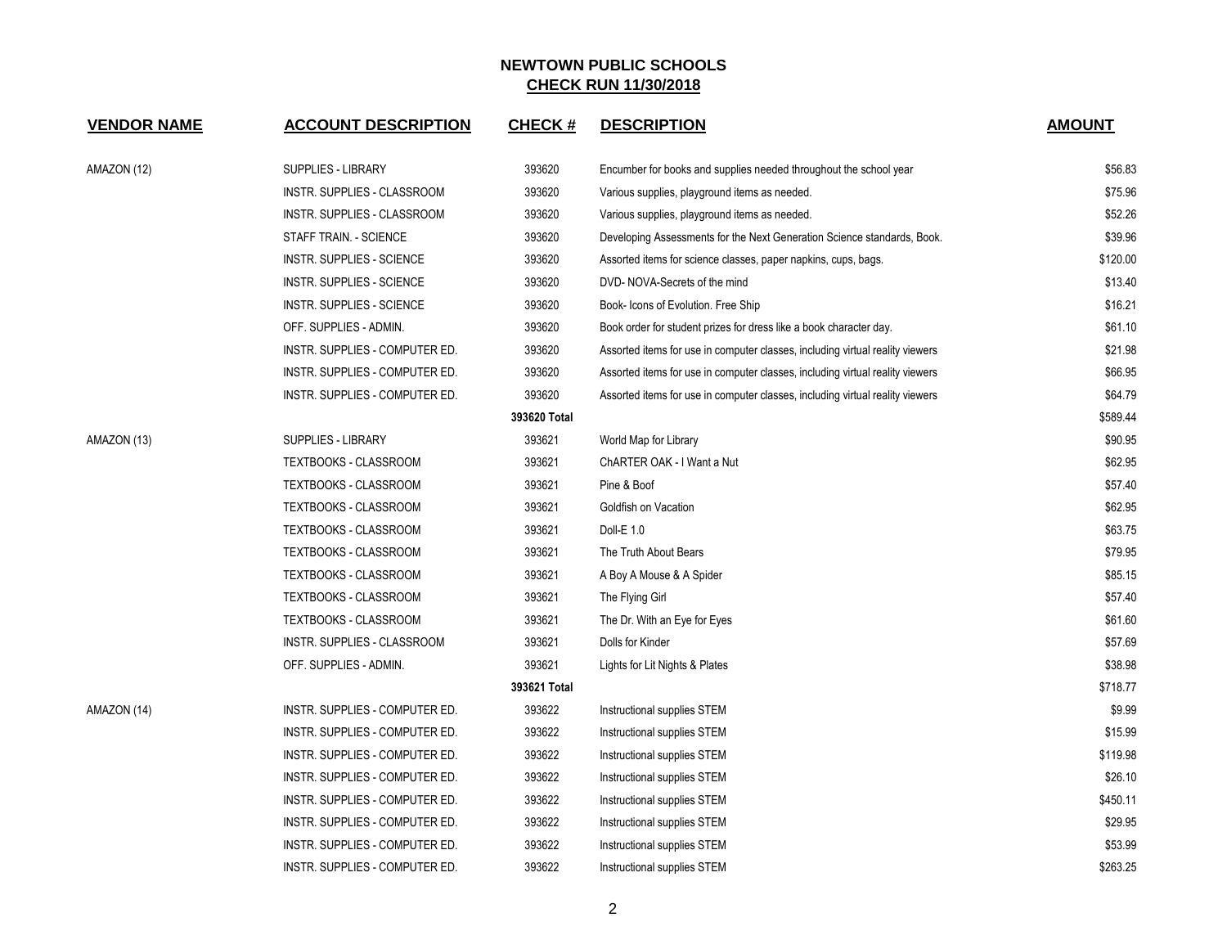| <b>VENDOR NAME</b> | <b>ACCOUNT DESCRIPTION</b>       | <b>CHECK#</b> | <b>DESCRIPTION</b>                                                            | <b>AMOUNT</b> |
|--------------------|----------------------------------|---------------|-------------------------------------------------------------------------------|---------------|
| AMAZON (12)        | <b>SUPPLIES - LIBRARY</b>        | 393620        | Encumber for books and supplies needed throughout the school year             | \$56.83       |
|                    | INSTR. SUPPLIES - CLASSROOM      | 393620        | Various supplies, playground items as needed.                                 | \$75.96       |
|                    | INSTR. SUPPLIES - CLASSROOM      | 393620        | Various supplies, playground items as needed.                                 | \$52.26       |
|                    | STAFF TRAIN. - SCIENCE           | 393620        | Developing Assessments for the Next Generation Science standards, Book.       | \$39.96       |
|                    | <b>INSTR. SUPPLIES - SCIENCE</b> | 393620        | Assorted items for science classes, paper napkins, cups, bags.                | \$120.00      |
|                    | <b>INSTR. SUPPLIES - SCIENCE</b> | 393620        | DVD-NOVA-Secrets of the mind                                                  | \$13.40       |
|                    | <b>INSTR. SUPPLIES - SCIENCE</b> | 393620        | Book- Icons of Evolution. Free Ship                                           | \$16.21       |
|                    | OFF. SUPPLIES - ADMIN.           | 393620        | Book order for student prizes for dress like a book character day.            | \$61.10       |
|                    | INSTR. SUPPLIES - COMPUTER ED.   | 393620        | Assorted items for use in computer classes, including virtual reality viewers | \$21.98       |
|                    | INSTR. SUPPLIES - COMPUTER ED.   | 393620        | Assorted items for use in computer classes, including virtual reality viewers | \$66.95       |
|                    | INSTR. SUPPLIES - COMPUTER ED.   | 393620        | Assorted items for use in computer classes, including virtual reality viewers | \$64.79       |
|                    |                                  | 393620 Total  |                                                                               | \$589.44      |
| AMAZON (13)        | <b>SUPPLIES - LIBRARY</b>        | 393621        | World Map for Library                                                         | \$90.95       |
|                    | <b>TEXTBOOKS - CLASSROOM</b>     | 393621        | ChARTER OAK - I Want a Nut                                                    | \$62.95       |
|                    | TEXTBOOKS - CLASSROOM            | 393621        | Pine & Boof                                                                   | \$57.40       |
|                    | <b>TEXTBOOKS - CLASSROOM</b>     | 393621        | Goldfish on Vacation                                                          | \$62.95       |
|                    | TEXTBOOKS - CLASSROOM            | 393621        | Doll-E 1.0                                                                    | \$63.75       |
|                    | TEXTBOOKS - CLASSROOM            | 393621        | The Truth About Bears                                                         | \$79.95       |
|                    | TEXTBOOKS - CLASSROOM            | 393621        | A Boy A Mouse & A Spider                                                      | \$85.15       |
|                    | TEXTBOOKS - CLASSROOM            | 393621        | The Flying Girl                                                               | \$57.40       |
|                    | <b>TEXTBOOKS - CLASSROOM</b>     | 393621        | The Dr. With an Eye for Eyes                                                  | \$61.60       |
|                    | INSTR. SUPPLIES - CLASSROOM      | 393621        | Dolls for Kinder                                                              | \$57.69       |
|                    | OFF. SUPPLIES - ADMIN.           | 393621        | Lights for Lit Nights & Plates                                                | \$38.98       |
|                    |                                  | 393621 Total  |                                                                               | \$718.77      |
| AMAZON (14)        | INSTR. SUPPLIES - COMPUTER ED.   | 393622        | Instructional supplies STEM                                                   | \$9.99        |
|                    | INSTR. SUPPLIES - COMPUTER ED.   | 393622        | Instructional supplies STEM                                                   | \$15.99       |
|                    | INSTR. SUPPLIES - COMPUTER ED.   | 393622        | Instructional supplies STEM                                                   | \$119.98      |
|                    | INSTR. SUPPLIES - COMPUTER ED.   | 393622        | Instructional supplies STEM                                                   | \$26.10       |
|                    | INSTR. SUPPLIES - COMPUTER ED.   | 393622        | Instructional supplies STEM                                                   | \$450.11      |
|                    | INSTR. SUPPLIES - COMPUTER ED.   | 393622        | Instructional supplies STEM                                                   | \$29.95       |
|                    | INSTR. SUPPLIES - COMPUTER ED.   | 393622        | Instructional supplies STEM                                                   | \$53.99       |
|                    | INSTR. SUPPLIES - COMPUTER ED.   | 393622        | Instructional supplies STEM                                                   | \$263.25      |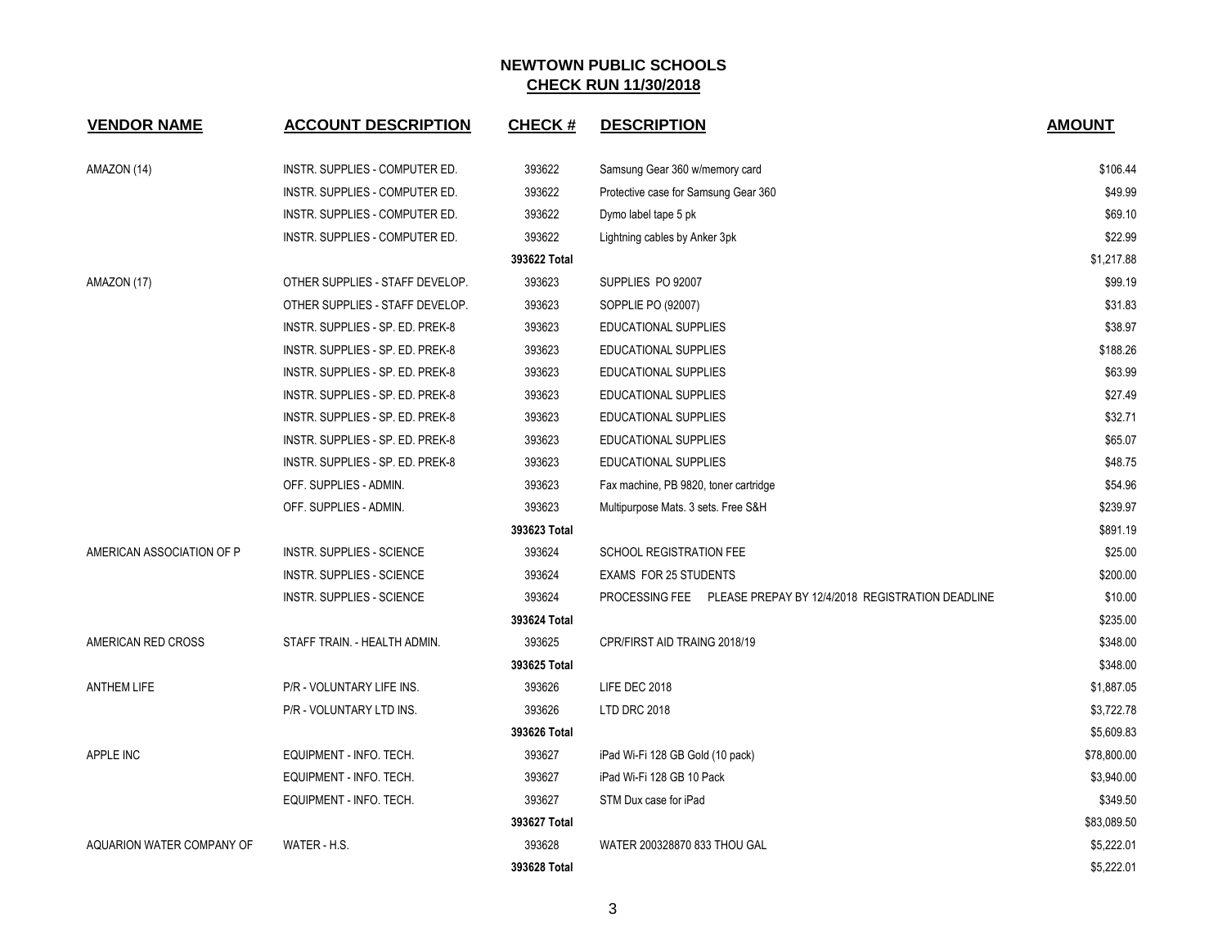| <b>VENDOR NAME</b>        | <b>ACCOUNT DESCRIPTION</b>       | <b>CHECK#</b> | <b>DESCRIPTION</b>                                              | <b>AMOUNT</b> |
|---------------------------|----------------------------------|---------------|-----------------------------------------------------------------|---------------|
| AMAZON (14)               | INSTR. SUPPLIES - COMPUTER ED.   | 393622        | Samsung Gear 360 w/memory card                                  | \$106.44      |
|                           | INSTR. SUPPLIES - COMPUTER ED.   | 393622        | Protective case for Samsung Gear 360                            | \$49.99       |
|                           | INSTR. SUPPLIES - COMPUTER ED.   | 393622        | Dymo label tape 5 pk                                            | \$69.10       |
|                           | INSTR. SUPPLIES - COMPUTER ED.   | 393622        | Lightning cables by Anker 3pk                                   | \$22.99       |
|                           |                                  | 393622 Total  |                                                                 | \$1,217.88    |
| AMAZON (17)               | OTHER SUPPLIES - STAFF DEVELOP.  | 393623        | SUPPLIES PO 92007                                               | \$99.19       |
|                           | OTHER SUPPLIES - STAFF DEVELOP.  | 393623        | SOPPLIE PO (92007)                                              | \$31.83       |
|                           | INSTR. SUPPLIES - SP. ED. PREK-8 | 393623        | EDUCATIONAL SUPPLIES                                            | \$38.97       |
|                           | INSTR. SUPPLIES - SP. ED. PREK-8 | 393623        | <b>EDUCATIONAL SUPPLIES</b>                                     | \$188.26      |
|                           | INSTR. SUPPLIES - SP. ED. PREK-8 | 393623        | EDUCATIONAL SUPPLIES                                            | \$63.99       |
|                           | INSTR. SUPPLIES - SP. ED. PREK-8 | 393623        | EDUCATIONAL SUPPLIES                                            | \$27.49       |
|                           | INSTR. SUPPLIES - SP. ED. PREK-8 | 393623        | EDUCATIONAL SUPPLIES                                            | \$32.71       |
|                           | INSTR. SUPPLIES - SP. ED. PREK-8 | 393623        | <b>EDUCATIONAL SUPPLIES</b>                                     | \$65.07       |
|                           | INSTR. SUPPLIES - SP. ED. PREK-8 | 393623        | EDUCATIONAL SUPPLIES                                            | \$48.75       |
|                           | OFF. SUPPLIES - ADMIN.           | 393623        | Fax machine, PB 9820, toner cartridge                           | \$54.96       |
|                           | OFF. SUPPLIES - ADMIN.           | 393623        | Multipurpose Mats. 3 sets. Free S&H                             | \$239.97      |
|                           |                                  | 393623 Total  |                                                                 | \$891.19      |
| AMERICAN ASSOCIATION OF P | INSTR. SUPPLIES - SCIENCE        | 393624        | <b>SCHOOL REGISTRATION FEE</b>                                  | \$25.00       |
|                           | INSTR. SUPPLIES - SCIENCE        | 393624        | <b>EXAMS FOR 25 STUDENTS</b>                                    | \$200.00      |
|                           | INSTR. SUPPLIES - SCIENCE        | 393624        | PROCESSING FEE PLEASE PREPAY BY 12/4/2018 REGISTRATION DEADLINE | \$10.00       |
|                           |                                  | 393624 Total  |                                                                 | \$235.00      |
| AMERICAN RED CROSS        | STAFF TRAIN. - HEALTH ADMIN.     | 393625        | CPR/FIRST AID TRAING 2018/19                                    | \$348.00      |
|                           |                                  | 393625 Total  |                                                                 | \$348.00      |
| <b>ANTHEM LIFE</b>        | P/R - VOLUNTARY LIFE INS.        | 393626        | LIFE DEC 2018                                                   | \$1,887.05    |
|                           | P/R - VOLUNTARY LTD INS.         | 393626        | LTD DRC 2018                                                    | \$3,722.78    |
|                           |                                  | 393626 Total  |                                                                 | \$5,609.83    |
| <b>APPLE INC</b>          | EQUIPMENT - INFO. TECH.          | 393627        | iPad Wi-Fi 128 GB Gold (10 pack)                                | \$78,800.00   |
|                           | EQUIPMENT - INFO. TECH.          | 393627        | iPad Wi-Fi 128 GB 10 Pack                                       | \$3,940.00    |
|                           | EQUIPMENT - INFO. TECH.          | 393627        | STM Dux case for iPad                                           | \$349.50      |
|                           |                                  | 393627 Total  |                                                                 | \$83,089.50   |
| AQUARION WATER COMPANY OF | WATER - H.S.                     | 393628        | WATER 200328870 833 THOU GAL                                    | \$5,222.01    |
|                           |                                  | 393628 Total  |                                                                 | \$5,222.01    |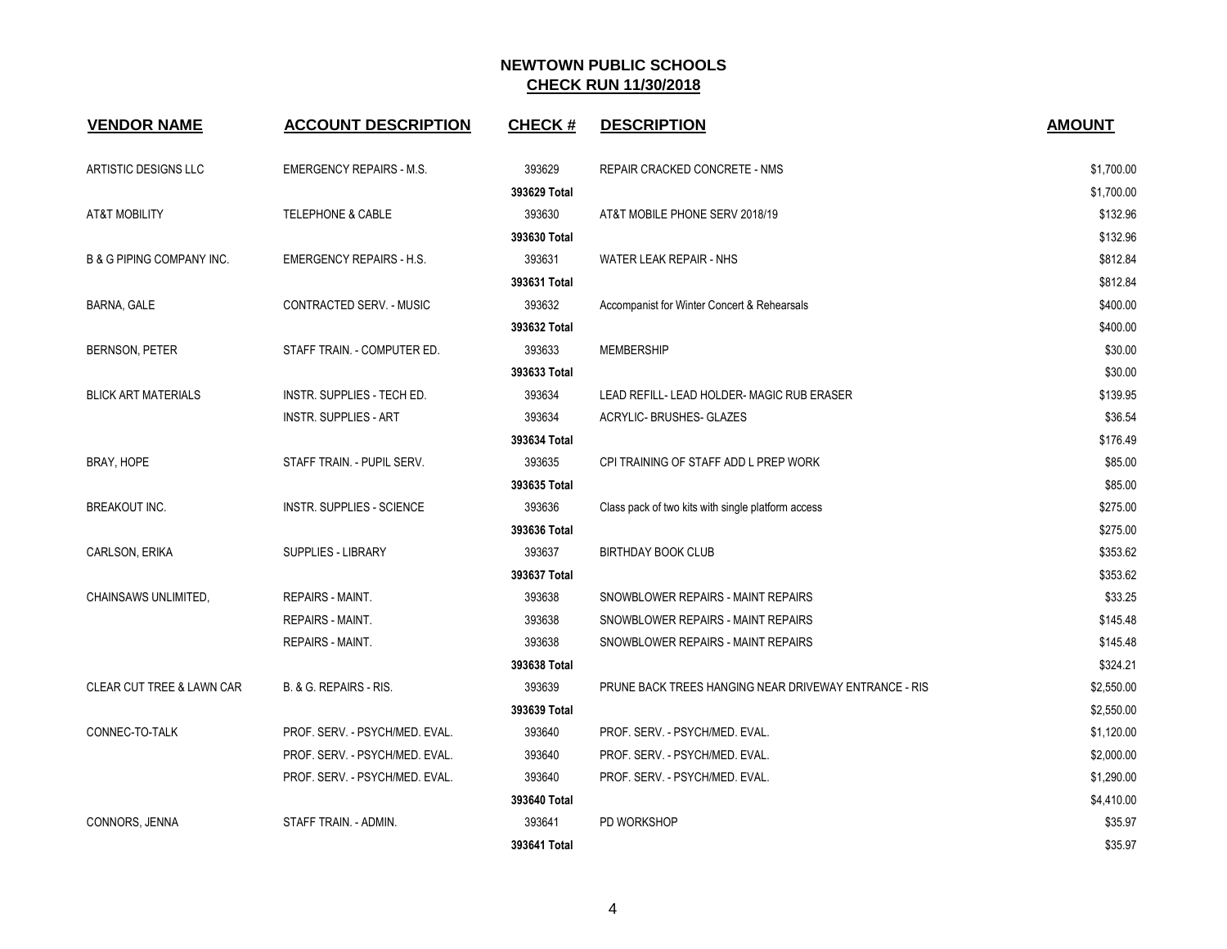| <b>VENDOR NAME</b>                   | <b>ACCOUNT DESCRIPTION</b>        | <b>CHECK#</b> | <b>DESCRIPTION</b>                                    | <b>AMOUNT</b> |
|--------------------------------------|-----------------------------------|---------------|-------------------------------------------------------|---------------|
| ARTISTIC DESIGNS LLC                 | <b>EMERGENCY REPAIRS - M.S.</b>   | 393629        | REPAIR CRACKED CONCRETE - NMS                         | \$1,700.00    |
|                                      |                                   | 393629 Total  |                                                       | \$1,700.00    |
| <b>AT&amp;T MOBILITY</b>             | <b>TELEPHONE &amp; CABLE</b>      | 393630        | AT&T MOBILE PHONE SERV 2018/19                        | \$132.96      |
|                                      |                                   | 393630 Total  |                                                       | \$132.96      |
| <b>B &amp; G PIPING COMPANY INC.</b> | <b>EMERGENCY REPAIRS - H.S.</b>   | 393631        | WATER LEAK REPAIR - NHS                               | \$812.84      |
|                                      |                                   | 393631 Total  |                                                       | \$812.84      |
| BARNA, GALE                          | CONTRACTED SERV. - MUSIC          | 393632        | Accompanist for Winter Concert & Rehearsals           | \$400.00      |
|                                      |                                   | 393632 Total  |                                                       | \$400.00      |
| BERNSON, PETER                       | STAFF TRAIN. - COMPUTER ED.       | 393633        | <b>MEMBERSHIP</b>                                     | \$30.00       |
|                                      |                                   | 393633 Total  |                                                       | \$30.00       |
| <b>BLICK ART MATERIALS</b>           | <b>INSTR. SUPPLIES - TECH ED.</b> | 393634        | LEAD REFILL- LEAD HOLDER- MAGIC RUB ERASER            | \$139.95      |
|                                      | <b>INSTR. SUPPLIES - ART</b>      | 393634        | ACRYLIC- BRUSHES- GLAZES                              | \$36.54       |
|                                      |                                   | 393634 Total  |                                                       | \$176.49      |
| BRAY, HOPE                           | STAFF TRAIN. - PUPIL SERV.        | 393635        | CPI TRAINING OF STAFF ADD L PREP WORK                 | \$85.00       |
|                                      |                                   | 393635 Total  |                                                       | \$85.00       |
| <b>BREAKOUT INC.</b>                 | <b>INSTR. SUPPLIES - SCIENCE</b>  | 393636        | Class pack of two kits with single platform access    | \$275.00      |
|                                      |                                   | 393636 Total  |                                                       | \$275.00      |
| CARLSON, ERIKA                       | <b>SUPPLIES - LIBRARY</b>         | 393637        | <b>BIRTHDAY BOOK CLUB</b>                             | \$353.62      |
|                                      |                                   | 393637 Total  |                                                       | \$353.62      |
| CHAINSAWS UNLIMITED,                 | <b>REPAIRS - MAINT.</b>           | 393638        | SNOWBLOWER REPAIRS - MAINT REPAIRS                    | \$33.25       |
|                                      | <b>REPAIRS - MAINT.</b>           | 393638        | SNOWBLOWER REPAIRS - MAINT REPAIRS                    | \$145.48      |
|                                      | <b>REPAIRS - MAINT.</b>           | 393638        | SNOWBLOWER REPAIRS - MAINT REPAIRS                    | \$145.48      |
|                                      |                                   | 393638 Total  |                                                       | \$324.21      |
| <b>CLEAR CUT TREE &amp; LAWN CAR</b> | B. & G. REPAIRS - RIS.            | 393639        | PRUNE BACK TREES HANGING NEAR DRIVEWAY ENTRANCE - RIS | \$2,550.00    |
|                                      |                                   | 393639 Total  |                                                       | \$2,550.00    |
| CONNEC-TO-TALK                       | PROF. SERV. - PSYCH/MED. EVAL.    | 393640        | PROF. SERV. - PSYCH/MED. EVAL.                        | \$1,120.00    |
|                                      | PROF. SERV. - PSYCH/MED. EVAL.    | 393640        | PROF. SERV. - PSYCH/MED. EVAL.                        | \$2,000.00    |
|                                      | PROF. SERV. - PSYCH/MED. EVAL.    | 393640        | PROF. SERV. - PSYCH/MED. EVAL.                        | \$1,290.00    |
|                                      |                                   | 393640 Total  |                                                       | \$4,410.00    |
| CONNORS, JENNA                       | STAFF TRAIN. - ADMIN.             | 393641        | PD WORKSHOP                                           | \$35.97       |
|                                      |                                   | 393641 Total  |                                                       | \$35.97       |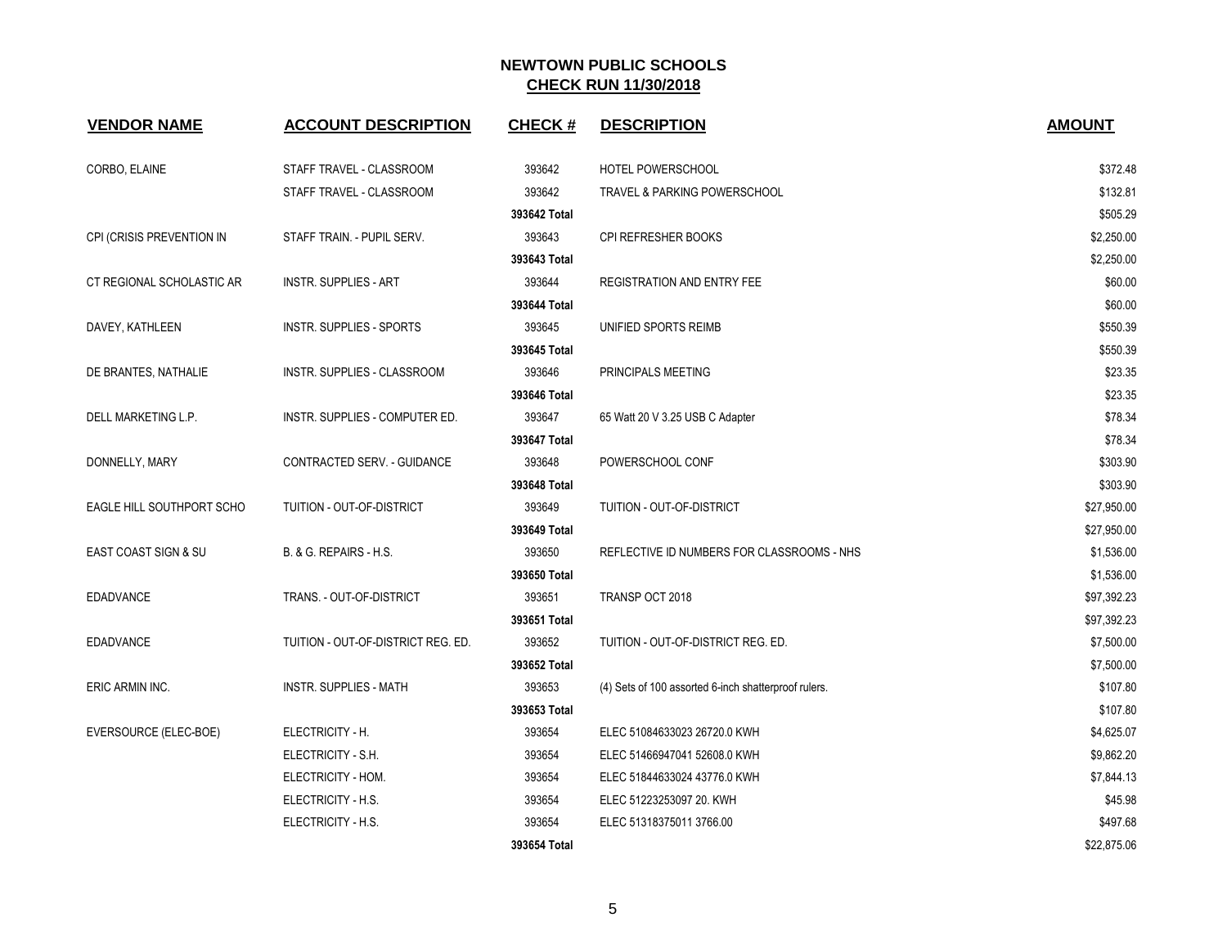| <b>VENDOR NAME</b>        | <b>ACCOUNT DESCRIPTION</b>         | <b>CHECK#</b> | <b>DESCRIPTION</b>                                   | <b>AMOUNT</b> |
|---------------------------|------------------------------------|---------------|------------------------------------------------------|---------------|
| CORBO, ELAINE             | STAFF TRAVEL - CLASSROOM           | 393642        | HOTEL POWERSCHOOL                                    | \$372.48      |
|                           | STAFF TRAVEL - CLASSROOM           | 393642        | TRAVEL & PARKING POWERSCHOOL                         | \$132.81      |
|                           |                                    | 393642 Total  |                                                      | \$505.29      |
| CPI (CRISIS PREVENTION IN | STAFF TRAIN. - PUPIL SERV.         | 393643        | CPI REFRESHER BOOKS                                  | \$2,250.00    |
|                           |                                    | 393643 Total  |                                                      | \$2,250.00    |
| CT REGIONAL SCHOLASTIC AR | INSTR. SUPPLIES - ART              | 393644        | <b>REGISTRATION AND ENTRY FEE</b>                    | \$60.00       |
|                           |                                    | 393644 Total  |                                                      | \$60.00       |
| DAVEY, KATHLEEN           | INSTR. SUPPLIES - SPORTS           | 393645        | UNIFIED SPORTS REIMB                                 | \$550.39      |
|                           |                                    | 393645 Total  |                                                      | \$550.39      |
| DE BRANTES, NATHALIE      | INSTR. SUPPLIES - CLASSROOM        | 393646        | PRINCIPALS MEETING                                   | \$23.35       |
|                           |                                    | 393646 Total  |                                                      | \$23.35       |
| DELL MARKETING L.P.       | INSTR. SUPPLIES - COMPUTER ED.     | 393647        | 65 Watt 20 V 3.25 USB C Adapter                      | \$78.34       |
|                           |                                    | 393647 Total  |                                                      | \$78.34       |
| DONNELLY, MARY            | CONTRACTED SERV. - GUIDANCE        | 393648        | POWERSCHOOL CONF                                     | \$303.90      |
|                           |                                    | 393648 Total  |                                                      | \$303.90      |
| EAGLE HILL SOUTHPORT SCHO | TUITION - OUT-OF-DISTRICT          | 393649        | TUITION - OUT-OF-DISTRICT                            | \$27,950.00   |
|                           |                                    | 393649 Total  |                                                      | \$27,950.00   |
| EAST COAST SIGN & SU      | B. & G. REPAIRS - H.S.             | 393650        | REFLECTIVE ID NUMBERS FOR CLASSROOMS - NHS           | \$1,536.00    |
|                           |                                    | 393650 Total  |                                                      | \$1,536.00    |
| EDADVANCE                 | TRANS. - OUT-OF-DISTRICT           | 393651        | TRANSP OCT 2018                                      | \$97,392.23   |
|                           |                                    | 393651 Total  |                                                      | \$97,392.23   |
| <b>EDADVANCE</b>          | TUITION - OUT-OF-DISTRICT REG. ED. | 393652        | TUITION - OUT-OF-DISTRICT REG. ED.                   | \$7,500.00    |
|                           |                                    | 393652 Total  |                                                      | \$7,500.00    |
| ERIC ARMIN INC.           | INSTR. SUPPLIES - MATH             | 393653        | (4) Sets of 100 assorted 6-inch shatterproof rulers. | \$107.80      |
|                           |                                    | 393653 Total  |                                                      | \$107.80      |
| EVERSOURCE (ELEC-BOE)     | ELECTRICITY - H.                   | 393654        | ELEC 51084633023 26720.0 KWH                         | \$4,625.07    |
|                           | ELECTRICITY - S.H.                 | 393654        | ELEC 51466947041 52608.0 KWH                         | \$9,862.20    |
|                           | ELECTRICITY - HOM.                 | 393654        | ELEC 51844633024 43776.0 KWH                         | \$7,844.13    |
|                           | ELECTRICITY - H.S.                 | 393654        | ELEC 51223253097 20. KWH                             | \$45.98       |
|                           | ELECTRICITY - H.S.                 | 393654        | ELEC 51318375011 3766.00                             | \$497.68      |
|                           |                                    | 393654 Total  |                                                      | \$22,875.06   |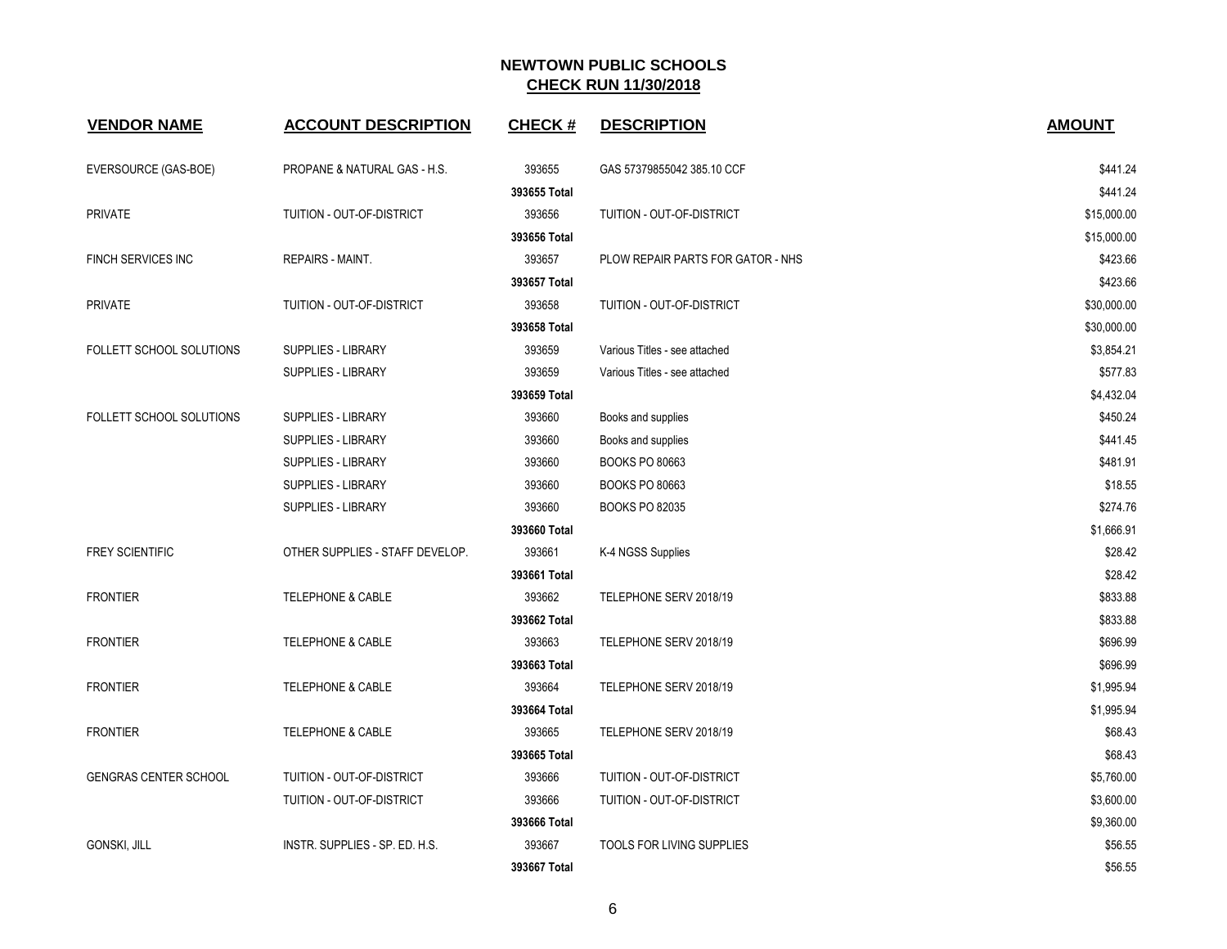| <b>VENDOR NAME</b>           | <b>ACCOUNT DESCRIPTION</b>      | <b>CHECK#</b> | <b>DESCRIPTION</b>                | <b>AMOUNT</b> |
|------------------------------|---------------------------------|---------------|-----------------------------------|---------------|
| EVERSOURCE (GAS-BOE)         | PROPANE & NATURAL GAS - H.S.    | 393655        | GAS 57379855042 385.10 CCF        | \$441.24      |
|                              |                                 | 393655 Total  |                                   | \$441.24      |
| <b>PRIVATE</b>               | TUITION - OUT-OF-DISTRICT       | 393656        | TUITION - OUT-OF-DISTRICT         | \$15,000.00   |
|                              |                                 | 393656 Total  |                                   | \$15,000.00   |
| FINCH SERVICES INC           | REPAIRS - MAINT.                | 393657        | PLOW REPAIR PARTS FOR GATOR - NHS | \$423.66      |
|                              |                                 | 393657 Total  |                                   | \$423.66      |
| <b>PRIVATE</b>               | TUITION - OUT-OF-DISTRICT       | 393658        | TUITION - OUT-OF-DISTRICT         | \$30,000.00   |
|                              |                                 | 393658 Total  |                                   | \$30,000.00   |
| FOLLETT SCHOOL SOLUTIONS     | SUPPLIES - LIBRARY              | 393659        | Various Titles - see attached     | \$3,854.21    |
|                              | SUPPLIES - LIBRARY              | 393659        | Various Titles - see attached     | \$577.83      |
|                              |                                 | 393659 Total  |                                   | \$4,432.04    |
| FOLLETT SCHOOL SOLUTIONS     | <b>SUPPLIES - LIBRARY</b>       | 393660        | Books and supplies                | \$450.24      |
|                              | SUPPLIES - LIBRARY              | 393660        | Books and supplies                | \$441.45      |
|                              | SUPPLIES - LIBRARY              | 393660        | <b>BOOKS PO 80663</b>             | \$481.91      |
|                              | <b>SUPPLIES - LIBRARY</b>       | 393660        | <b>BOOKS PO 80663</b>             | \$18.55       |
|                              | <b>SUPPLIES - LIBRARY</b>       | 393660        | <b>BOOKS PO 82035</b>             | \$274.76      |
|                              |                                 | 393660 Total  |                                   | \$1,666.91    |
| <b>FREY SCIENTIFIC</b>       | OTHER SUPPLIES - STAFF DEVELOP. | 393661        | K-4 NGSS Supplies                 | \$28.42       |
|                              |                                 | 393661 Total  |                                   | \$28.42       |
| <b>FRONTIER</b>              | <b>TELEPHONE &amp; CABLE</b>    | 393662        | TELEPHONE SERV 2018/19            | \$833.88      |
|                              |                                 | 393662 Total  |                                   | \$833.88      |
| <b>FRONTIER</b>              | <b>TELEPHONE &amp; CABLE</b>    | 393663        | TELEPHONE SERV 2018/19            | \$696.99      |
|                              |                                 | 393663 Total  |                                   | \$696.99      |
| <b>FRONTIER</b>              | <b>TELEPHONE &amp; CABLE</b>    | 393664        | TELEPHONE SERV 2018/19            | \$1,995.94    |
|                              |                                 | 393664 Total  |                                   | \$1,995.94    |
| <b>FRONTIER</b>              | <b>TELEPHONE &amp; CABLE</b>    | 393665        | TELEPHONE SERV 2018/19            | \$68.43       |
|                              |                                 | 393665 Total  |                                   | \$68.43       |
| <b>GENGRAS CENTER SCHOOL</b> | TUITION - OUT-OF-DISTRICT       | 393666        | TUITION - OUT-OF-DISTRICT         | \$5,760.00    |
|                              | TUITION - OUT-OF-DISTRICT       | 393666        | TUITION - OUT-OF-DISTRICT         | \$3,600.00    |
|                              |                                 | 393666 Total  |                                   | \$9,360.00    |
| <b>GONSKI, JILL</b>          | INSTR. SUPPLIES - SP. ED. H.S.  | 393667        | TOOLS FOR LIVING SUPPLIES         | \$56.55       |
|                              |                                 | 393667 Total  |                                   | \$56.55       |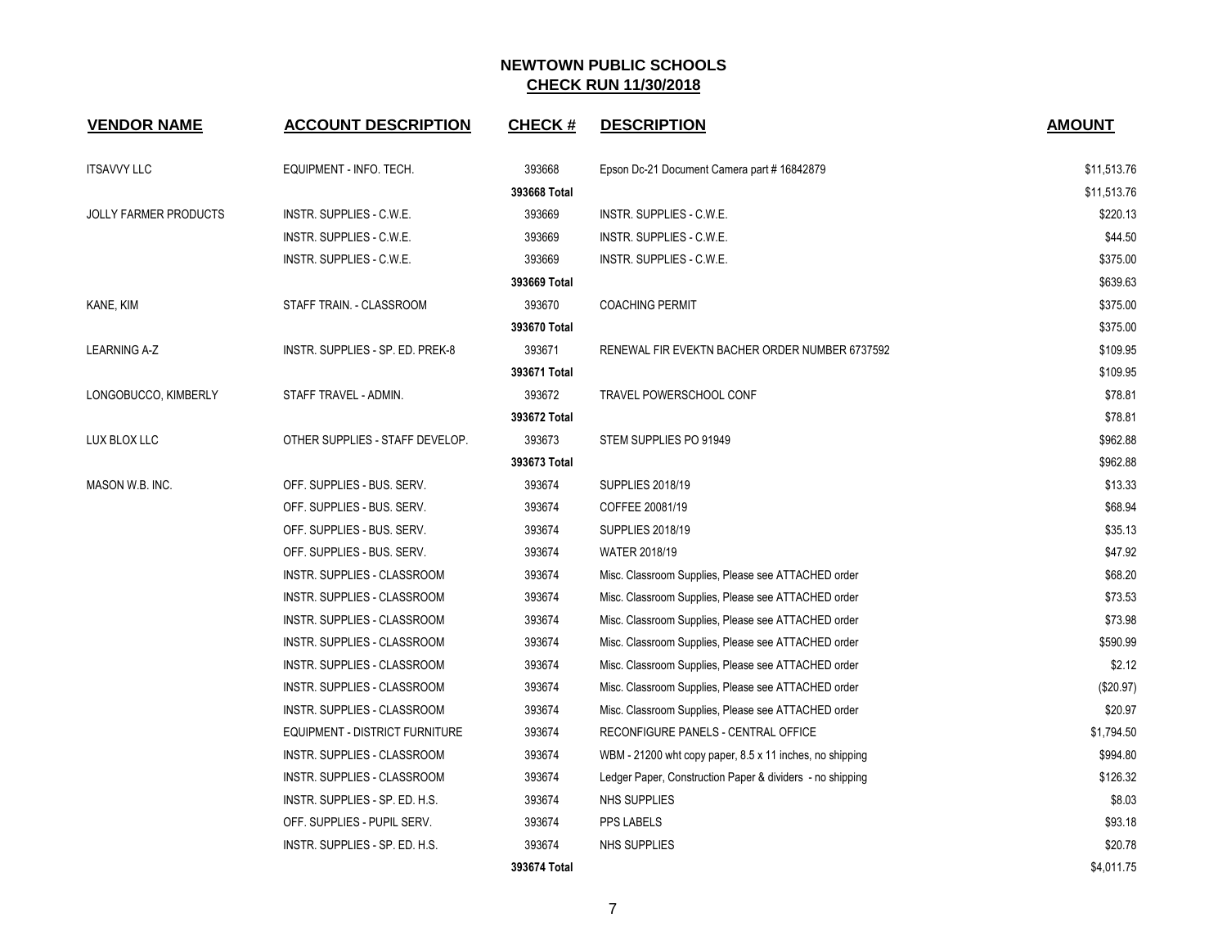| <b>VENDOR NAME</b>           | <b>ACCOUNT DESCRIPTION</b>       | <b>CHECK#</b> | <b>DESCRIPTION</b>                                        | <b>AMOUNT</b> |
|------------------------------|----------------------------------|---------------|-----------------------------------------------------------|---------------|
| <b>ITSAVVY LLC</b>           | EQUIPMENT - INFO. TECH.          | 393668        | Epson Dc-21 Document Camera part # 16842879               | \$11,513.76   |
|                              |                                  | 393668 Total  |                                                           | \$11,513.76   |
| <b>JOLLY FARMER PRODUCTS</b> | INSTR. SUPPLIES - C.W.E.         | 393669        | INSTR. SUPPLIES - C.W.E.                                  | \$220.13      |
|                              | INSTR. SUPPLIES - C.W.E.         | 393669        | INSTR. SUPPLIES - C.W.E.                                  | \$44.50       |
|                              | INSTR. SUPPLIES - C.W.E.         | 393669        | INSTR. SUPPLIES - C.W.E.                                  | \$375.00      |
|                              |                                  | 393669 Total  |                                                           | \$639.63      |
| KANE, KIM                    | STAFF TRAIN. - CLASSROOM         | 393670        | <b>COACHING PERMIT</b>                                    | \$375.00      |
|                              |                                  | 393670 Total  |                                                           | \$375.00      |
| <b>LEARNING A-Z</b>          | INSTR. SUPPLIES - SP. ED. PREK-8 | 393671        | RENEWAL FIR EVEKTN BACHER ORDER NUMBER 6737592            | \$109.95      |
|                              |                                  | 393671 Total  |                                                           | \$109.95      |
| LONGOBUCCO, KIMBERLY         | STAFF TRAVEL - ADMIN.            | 393672        | TRAVEL POWERSCHOOL CONF                                   | \$78.81       |
|                              |                                  | 393672 Total  |                                                           | \$78.81       |
| LUX BLOX LLC                 | OTHER SUPPLIES - STAFF DEVELOP.  | 393673        | STEM SUPPLIES PO 91949                                    | \$962.88      |
|                              |                                  | 393673 Total  |                                                           | \$962.88      |
| MASON W.B. INC.              | OFF. SUPPLIES - BUS. SERV.       | 393674        | <b>SUPPLIES 2018/19</b>                                   | \$13.33       |
|                              | OFF. SUPPLIES - BUS. SERV.       | 393674        | COFFEE 20081/19                                           | \$68.94       |
|                              | OFF. SUPPLIES - BUS. SERV.       | 393674        | <b>SUPPLIES 2018/19</b>                                   | \$35.13       |
|                              | OFF. SUPPLIES - BUS. SERV.       | 393674        | <b>WATER 2018/19</b>                                      | \$47.92       |
|                              | INSTR. SUPPLIES - CLASSROOM      | 393674        | Misc. Classroom Supplies, Please see ATTACHED order       | \$68.20       |
|                              | INSTR. SUPPLIES - CLASSROOM      | 393674        | Misc. Classroom Supplies, Please see ATTACHED order       | \$73.53       |
|                              | INSTR. SUPPLIES - CLASSROOM      | 393674        | Misc. Classroom Supplies, Please see ATTACHED order       | \$73.98       |
|                              | INSTR. SUPPLIES - CLASSROOM      | 393674        | Misc. Classroom Supplies, Please see ATTACHED order       | \$590.99      |
|                              | INSTR. SUPPLIES - CLASSROOM      | 393674        | Misc. Classroom Supplies, Please see ATTACHED order       | \$2.12        |
|                              | INSTR. SUPPLIES - CLASSROOM      | 393674        | Misc. Classroom Supplies, Please see ATTACHED order       | $(\$20.97)$   |
|                              | INSTR. SUPPLIES - CLASSROOM      | 393674        | Misc. Classroom Supplies, Please see ATTACHED order       | \$20.97       |
|                              | EQUIPMENT - DISTRICT FURNITURE   | 393674        | RECONFIGURE PANELS - CENTRAL OFFICE                       | \$1,794.50    |
|                              | INSTR. SUPPLIES - CLASSROOM      | 393674        | WBM - 21200 wht copy paper, 8.5 x 11 inches, no shipping  | \$994.80      |
|                              | INSTR. SUPPLIES - CLASSROOM      | 393674        | Ledger Paper, Construction Paper & dividers - no shipping | \$126.32      |
|                              | INSTR. SUPPLIES - SP. ED. H.S.   | 393674        | NHS SUPPLIES                                              | \$8.03        |
|                              | OFF. SUPPLIES - PUPIL SERV.      | 393674        | PPS LABELS                                                | \$93.18       |
|                              | INSTR. SUPPLIES - SP. ED. H.S.   | 393674        | NHS SUPPLIES                                              | \$20.78       |
|                              |                                  | 393674 Total  |                                                           | \$4,011.75    |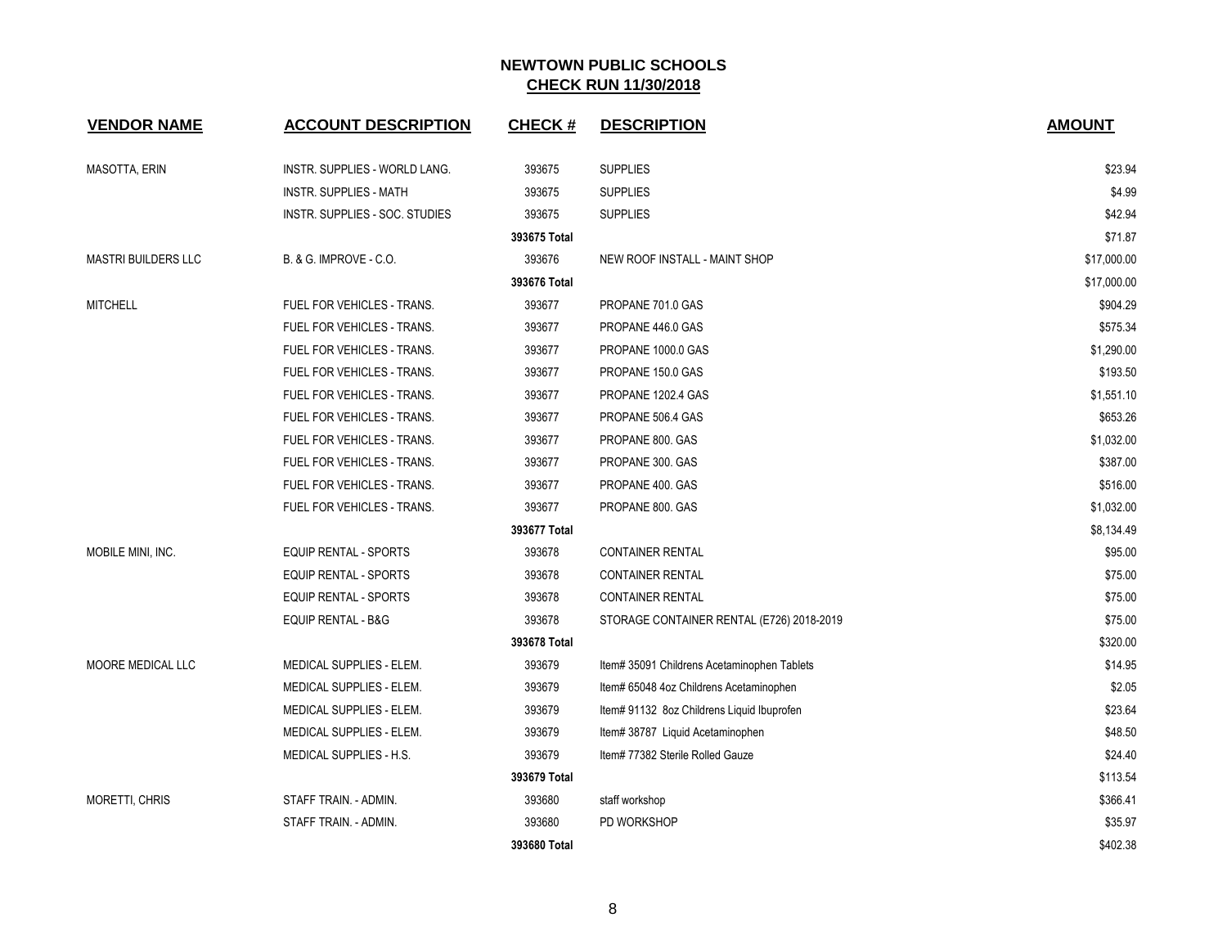| <b>VENDOR NAME</b>         | <b>ACCOUNT DESCRIPTION</b>           | <b>CHECK#</b> | <b>DESCRIPTION</b>                          | <b>AMOUNT</b> |
|----------------------------|--------------------------------------|---------------|---------------------------------------------|---------------|
| <b>MASOTTA, ERIN</b>       | <b>INSTR. SUPPLIES - WORLD LANG.</b> | 393675        | <b>SUPPLIES</b>                             | \$23.94       |
|                            | INSTR. SUPPLIES - MATH               | 393675        | <b>SUPPLIES</b>                             | \$4.99        |
|                            | INSTR. SUPPLIES - SOC. STUDIES       | 393675        | <b>SUPPLIES</b>                             | \$42.94       |
|                            |                                      | 393675 Total  |                                             | \$71.87       |
| <b>MASTRI BUILDERS LLC</b> | <b>B. &amp; G. IMPROVE - C.O.</b>    | 393676        | NEW ROOF INSTALL - MAINT SHOP               | \$17,000.00   |
|                            |                                      | 393676 Total  |                                             | \$17,000.00   |
| <b>MITCHELL</b>            | FUEL FOR VEHICLES - TRANS.           | 393677        | PROPANE 701.0 GAS                           | \$904.29      |
|                            | FUEL FOR VEHICLES - TRANS.           | 393677        | PROPANE 446.0 GAS                           | \$575.34      |
|                            | FUEL FOR VEHICLES - TRANS.           | 393677        | PROPANE 1000.0 GAS                          | \$1,290.00    |
|                            | FUEL FOR VEHICLES - TRANS.           | 393677        | PROPANE 150.0 GAS                           | \$193.50      |
|                            | FUEL FOR VEHICLES - TRANS.           | 393677        | PROPANE 1202.4 GAS                          | \$1,551.10    |
|                            | FUEL FOR VEHICLES - TRANS.           | 393677        | PROPANE 506.4 GAS                           | \$653.26      |
|                            | FUEL FOR VEHICLES - TRANS.           | 393677        | PROPANE 800. GAS                            | \$1,032.00    |
|                            | FUEL FOR VEHICLES - TRANS.           | 393677        | PROPANE 300. GAS                            | \$387.00      |
|                            | FUEL FOR VEHICLES - TRANS.           | 393677        | PROPANE 400. GAS                            | \$516.00      |
|                            | FUEL FOR VEHICLES - TRANS.           | 393677        | PROPANE 800. GAS                            | \$1,032.00    |
|                            |                                      | 393677 Total  |                                             | \$8,134.49    |
| MOBILE MINI, INC.          | EQUIP RENTAL - SPORTS                | 393678        | <b>CONTAINER RENTAL</b>                     | \$95.00       |
|                            | EQUIP RENTAL - SPORTS                | 393678        | <b>CONTAINER RENTAL</b>                     | \$75.00       |
|                            | EQUIP RENTAL - SPORTS                | 393678        | <b>CONTAINER RENTAL</b>                     | \$75.00       |
|                            | <b>EQUIP RENTAL - B&amp;G</b>        | 393678        | STORAGE CONTAINER RENTAL (E726) 2018-2019   | \$75.00       |
|                            |                                      | 393678 Total  |                                             | \$320.00      |
| MOORE MEDICAL LLC          | MEDICAL SUPPLIES - ELEM.             | 393679        | Item# 35091 Childrens Acetaminophen Tablets | \$14.95       |
|                            | MEDICAL SUPPLIES - ELEM.             | 393679        | Item# 65048 4oz Childrens Acetaminophen     | \$2.05        |
|                            | MEDICAL SUPPLIES - ELEM.             | 393679        | Item# 91132 8oz Childrens Liquid Ibuprofen  | \$23.64       |
|                            | MEDICAL SUPPLIES - ELEM.             | 393679        | Item# 38787 Liquid Acetaminophen            | \$48.50       |
|                            | MEDICAL SUPPLIES - H.S.              | 393679        | Item# 77382 Sterile Rolled Gauze            | \$24.40       |
|                            |                                      | 393679 Total  |                                             | \$113.54      |
| <b>MORETTI, CHRIS</b>      | STAFF TRAIN. - ADMIN.                | 393680        | staff workshop                              | \$366.41      |
|                            | STAFF TRAIN. - ADMIN.                | 393680        | PD WORKSHOP                                 | \$35.97       |
|                            |                                      | 393680 Total  |                                             | \$402.38      |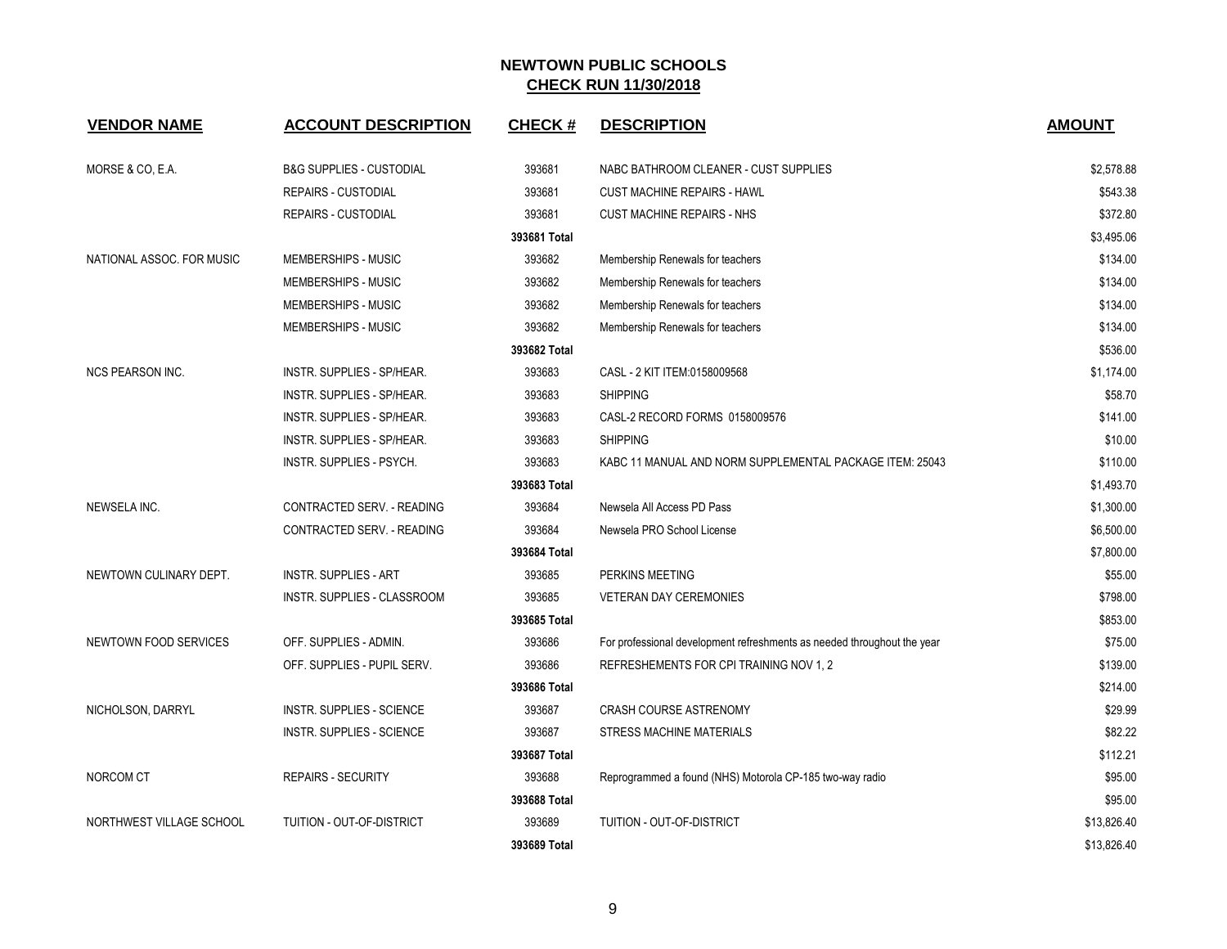| <b>VENDOR NAME</b>        | <b>ACCOUNT DESCRIPTION</b>          | <b>CHECK#</b> | <b>DESCRIPTION</b>                                                      | <b>AMOUNT</b> |
|---------------------------|-------------------------------------|---------------|-------------------------------------------------------------------------|---------------|
| MORSE & CO, E.A.          | <b>B&amp;G SUPPLIES - CUSTODIAL</b> | 393681        | NABC BATHROOM CLEANER - CUST SUPPLIES                                   | \$2,578.88    |
|                           | <b>REPAIRS - CUSTODIAL</b>          | 393681        | <b>CUST MACHINE REPAIRS - HAWL</b>                                      | \$543.38      |
|                           | <b>REPAIRS - CUSTODIAL</b>          | 393681        | <b>CUST MACHINE REPAIRS - NHS</b>                                       | \$372.80      |
|                           |                                     | 393681 Total  |                                                                         | \$3,495.06    |
| NATIONAL ASSOC. FOR MUSIC | MEMBERSHIPS - MUSIC                 | 393682        | Membership Renewals for teachers                                        | \$134.00      |
|                           | MEMBERSHIPS - MUSIC                 | 393682        | Membership Renewals for teachers                                        | \$134.00      |
|                           | MEMBERSHIPS - MUSIC                 | 393682        | Membership Renewals for teachers                                        | \$134.00      |
|                           | MEMBERSHIPS - MUSIC                 | 393682        | Membership Renewals for teachers                                        | \$134.00      |
|                           |                                     | 393682 Total  |                                                                         | \$536.00      |
| <b>NCS PEARSON INC.</b>   | <b>INSTR. SUPPLIES - SP/HEAR.</b>   | 393683        | CASL - 2 KIT ITEM:0158009568                                            | \$1,174.00    |
|                           | <b>INSTR. SUPPLIES - SP/HEAR.</b>   | 393683        | <b>SHIPPING</b>                                                         | \$58.70       |
|                           | INSTR. SUPPLIES - SP/HEAR.          | 393683        | CASL-2 RECORD FORMS 0158009576                                          | \$141.00      |
|                           | INSTR. SUPPLIES - SP/HEAR.          | 393683        | <b>SHIPPING</b>                                                         | \$10.00       |
|                           | INSTR. SUPPLIES - PSYCH.            | 393683        | KABC 11 MANUAL AND NORM SUPPLEMENTAL PACKAGE ITEM: 25043                | \$110.00      |
|                           |                                     | 393683 Total  |                                                                         | \$1,493.70    |
| NEWSELA INC.              | CONTRACTED SERV. - READING          | 393684        | Newsela All Access PD Pass                                              | \$1,300.00    |
|                           | CONTRACTED SERV. - READING          | 393684        | Newsela PRO School License                                              | \$6,500.00    |
|                           |                                     | 393684 Total  |                                                                         | \$7,800.00    |
| NEWTOWN CULINARY DEPT.    | <b>INSTR. SUPPLIES - ART</b>        | 393685        | PERKINS MEETING                                                         | \$55.00       |
|                           | INSTR. SUPPLIES - CLASSROOM         | 393685        | <b>VETERAN DAY CEREMONIES</b>                                           | \$798.00      |
|                           |                                     | 393685 Total  |                                                                         | \$853.00      |
| NEWTOWN FOOD SERVICES     | OFF. SUPPLIES - ADMIN.              | 393686        | For professional development refreshments as needed throughout the year | \$75.00       |
|                           | OFF. SUPPLIES - PUPIL SERV.         | 393686        | REFRESHEMENTS FOR CPI TRAINING NOV 1, 2                                 | \$139.00      |
|                           |                                     | 393686 Total  |                                                                         | \$214.00      |
| NICHOLSON, DARRYL         | INSTR. SUPPLIES - SCIENCE           | 393687        | <b>CRASH COURSE ASTRENOMY</b>                                           | \$29.99       |
|                           | INSTR. SUPPLIES - SCIENCE           | 393687        | <b>STRESS MACHINE MATERIALS</b>                                         | \$82.22       |
|                           |                                     | 393687 Total  |                                                                         | \$112.21      |
| NORCOM CT                 | <b>REPAIRS - SECURITY</b>           | 393688        | Reprogrammed a found (NHS) Motorola CP-185 two-way radio                | \$95.00       |
|                           |                                     | 393688 Total  |                                                                         | \$95.00       |
| NORTHWEST VILLAGE SCHOOL  | TUITION - OUT-OF-DISTRICT           | 393689        | TUITION - OUT-OF-DISTRICT                                               | \$13,826.40   |
|                           |                                     | 393689 Total  |                                                                         | \$13,826.40   |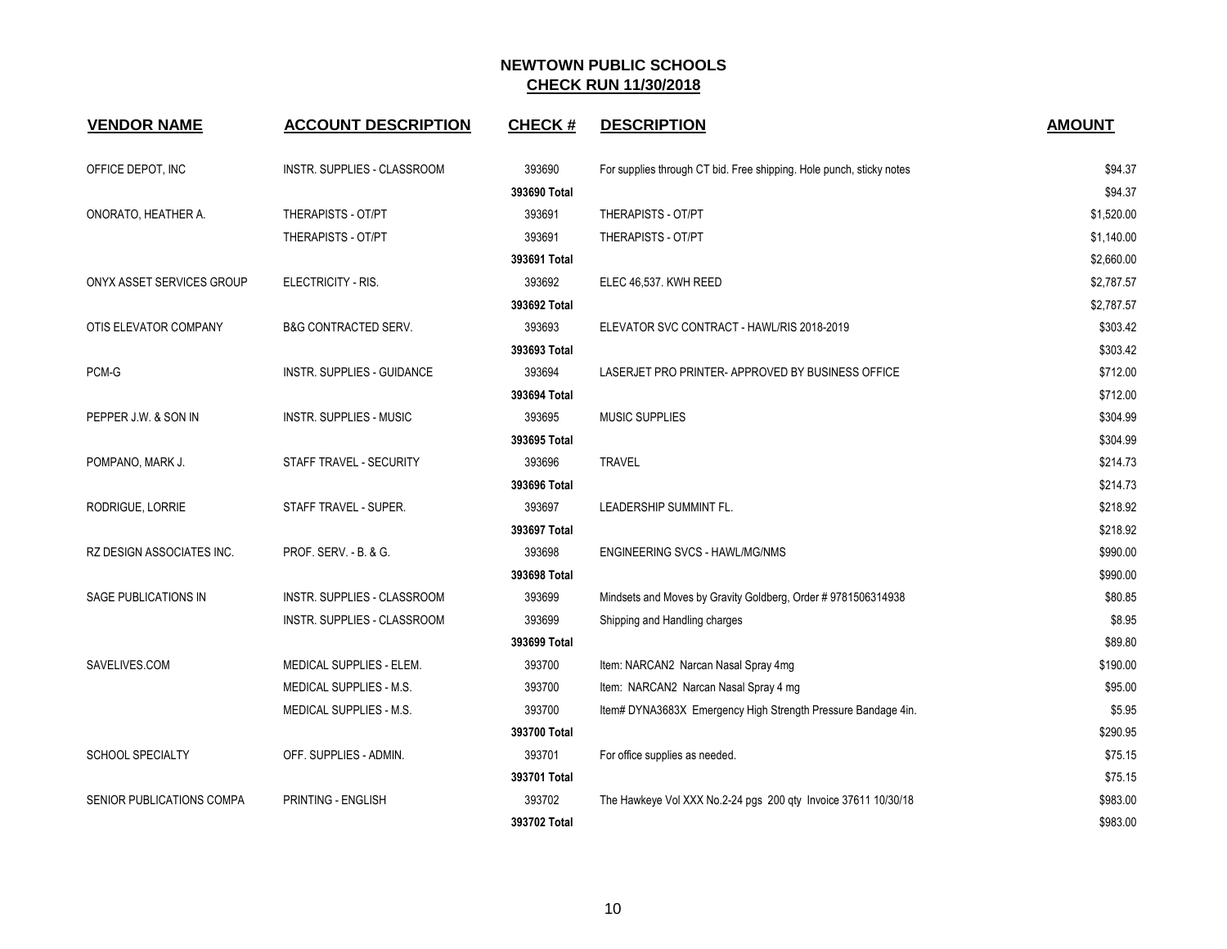| <b>VENDOR NAME</b>          | <b>ACCOUNT DESCRIPTION</b>      | <b>CHECK#</b> | <b>DESCRIPTION</b>                                                   | <b>AMOUNT</b> |
|-----------------------------|---------------------------------|---------------|----------------------------------------------------------------------|---------------|
| OFFICE DEPOT, INC           | INSTR. SUPPLIES - CLASSROOM     | 393690        | For supplies through CT bid. Free shipping. Hole punch, sticky notes | \$94.37       |
|                             |                                 | 393690 Total  |                                                                      | \$94.37       |
| ONORATO, HEATHER A.         | THERAPISTS - OT/PT              | 393691        | THERAPISTS - OT/PT                                                   | \$1,520.00    |
|                             | THERAPISTS - OT/PT              | 393691        | <b>THERAPISTS - OT/PT</b>                                            | \$1,140.00    |
|                             |                                 | 393691 Total  |                                                                      | \$2,660.00    |
| ONYX ASSET SERVICES GROUP   | ELECTRICITY - RIS.              | 393692        | ELEC 46,537. KWH REED                                                | \$2,787.57    |
|                             |                                 | 393692 Total  |                                                                      | \$2,787.57    |
| OTIS ELEVATOR COMPANY       | <b>B&amp;G CONTRACTED SERV.</b> | 393693        | ELEVATOR SVC CONTRACT - HAWL/RIS 2018-2019                           | \$303.42      |
|                             |                                 | 393693 Total  |                                                                      | \$303.42      |
| PCM-G                       | INSTR. SUPPLIES - GUIDANCE      | 393694        | LASERJET PRO PRINTER-APPROVED BY BUSINESS OFFICE                     | \$712.00      |
|                             |                                 | 393694 Total  |                                                                      | \$712.00      |
| PEPPER J.W. & SON IN        | <b>INSTR. SUPPLIES - MUSIC</b>  | 393695        | <b>MUSIC SUPPLIES</b>                                                | \$304.99      |
|                             |                                 | 393695 Total  |                                                                      | \$304.99      |
| POMPANO, MARK J.            | STAFF TRAVEL - SECURITY         | 393696        | <b>TRAVEL</b>                                                        | \$214.73      |
|                             |                                 | 393696 Total  |                                                                      | \$214.73      |
| RODRIGUE, LORRIE            | STAFF TRAVEL - SUPER.           | 393697        | LEADERSHIP SUMMINT FL.                                               | \$218.92      |
|                             |                                 | 393697 Total  |                                                                      | \$218.92      |
| RZ DESIGN ASSOCIATES INC.   | PROF. SERV. - B. & G.           | 393698        | ENGINEERING SVCS - HAWL/MG/NMS                                       | \$990.00      |
|                             |                                 | 393698 Total  |                                                                      | \$990.00      |
| <b>SAGE PUBLICATIONS IN</b> | INSTR. SUPPLIES - CLASSROOM     | 393699        | Mindsets and Moves by Gravity Goldberg, Order # 9781506314938        | \$80.85       |
|                             | INSTR. SUPPLIES - CLASSROOM     | 393699        | Shipping and Handling charges                                        | \$8.95        |
|                             |                                 | 393699 Total  |                                                                      | \$89.80       |
| SAVELIVES.COM               | MEDICAL SUPPLIES - ELEM.        | 393700        | Item: NARCAN2 Narcan Nasal Spray 4mg                                 | \$190.00      |
|                             | MEDICAL SUPPLIES - M.S.         | 393700        | Item: NARCAN2 Narcan Nasal Spray 4 mg                                | \$95.00       |
|                             | MEDICAL SUPPLIES - M.S.         | 393700        | Item# DYNA3683X Emergency High Strength Pressure Bandage 4in.        | \$5.95        |
|                             |                                 | 393700 Total  |                                                                      | \$290.95      |
| <b>SCHOOL SPECIALTY</b>     | OFF. SUPPLIES - ADMIN.          | 393701        | For office supplies as needed.                                       | \$75.15       |
|                             |                                 | 393701 Total  |                                                                      | \$75.15       |
| SENIOR PUBLICATIONS COMPA   | <b>PRINTING - ENGLISH</b>       | 393702        | The Hawkeye Vol XXX No.2-24 pgs 200 qty Invoice 37611 10/30/18       | \$983.00      |
|                             |                                 | 393702 Total  |                                                                      | \$983.00      |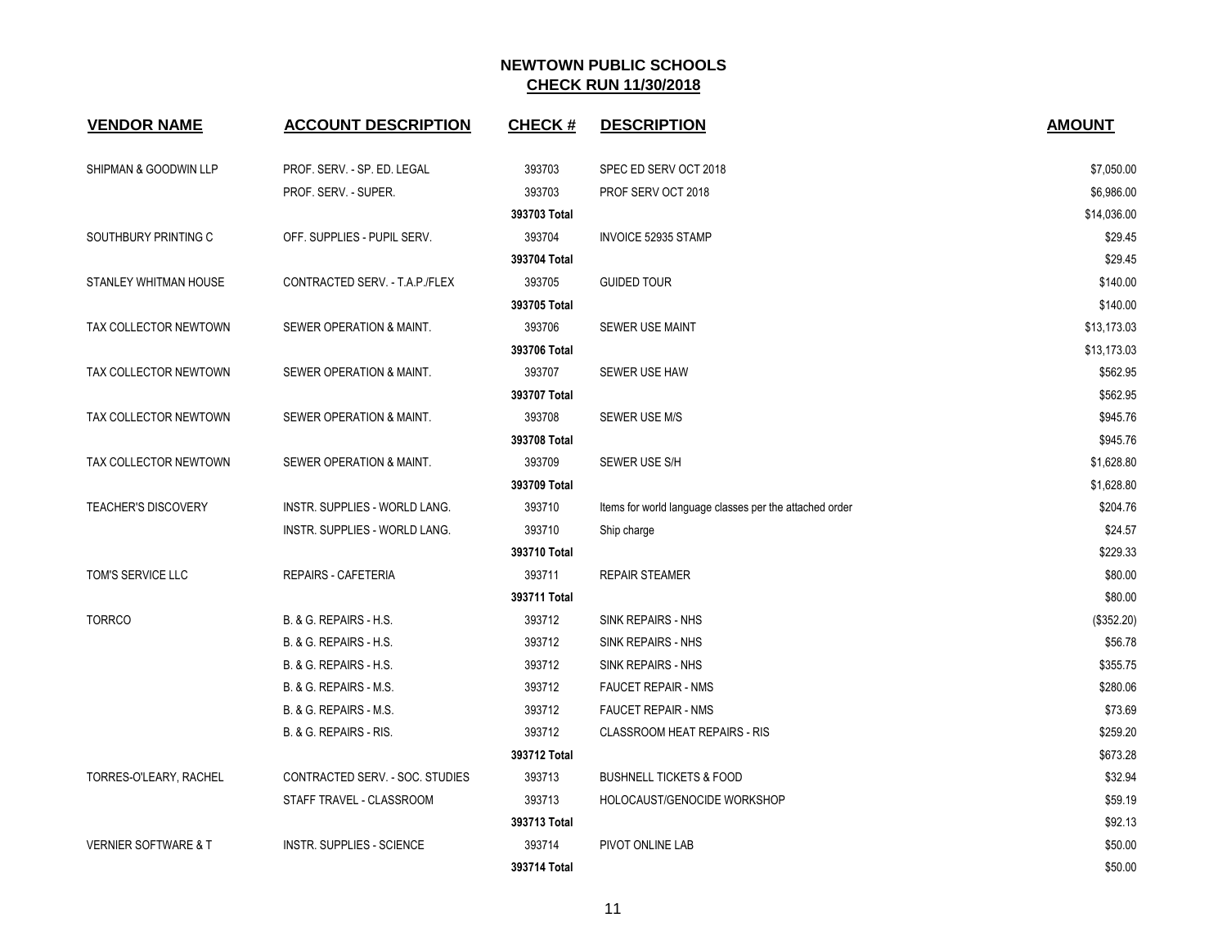| <b>VENDOR NAME</b>              | <b>ACCOUNT DESCRIPTION</b>           | <b>CHECK#</b> | <b>DESCRIPTION</b>                                      | <b>AMOUNT</b> |
|---------------------------------|--------------------------------------|---------------|---------------------------------------------------------|---------------|
| SHIPMAN & GOODWIN LLP           | PROF. SERV. - SP. ED. LEGAL          | 393703        | SPEC ED SERV OCT 2018                                   | \$7,050.00    |
|                                 | PROF. SERV. - SUPER.                 | 393703        | PROF SERV OCT 2018                                      | \$6,986.00    |
|                                 |                                      | 393703 Total  |                                                         | \$14,036.00   |
| SOUTHBURY PRINTING C            | OFF. SUPPLIES - PUPIL SERV.          | 393704        | <b>INVOICE 52935 STAMP</b>                              | \$29.45       |
|                                 |                                      | 393704 Total  |                                                         | \$29.45       |
| STANLEY WHITMAN HOUSE           | CONTRACTED SERV. - T.A.P./FLEX       | 393705        | <b>GUIDED TOUR</b>                                      | \$140.00      |
|                                 |                                      | 393705 Total  |                                                         | \$140.00      |
| TAX COLLECTOR NEWTOWN           | SEWER OPERATION & MAINT.             | 393706        | SEWER USE MAINT                                         | \$13,173.03   |
|                                 |                                      | 393706 Total  |                                                         | \$13,173.03   |
| TAX COLLECTOR NEWTOWN           | SEWER OPERATION & MAINT.             | 393707        | SEWER USE HAW                                           | \$562.95      |
|                                 |                                      | 393707 Total  |                                                         | \$562.95      |
| TAX COLLECTOR NEWTOWN           | SEWER OPERATION & MAINT.             | 393708        | <b>SEWER USE M/S</b>                                    | \$945.76      |
|                                 |                                      | 393708 Total  |                                                         | \$945.76      |
| TAX COLLECTOR NEWTOWN           | SEWER OPERATION & MAINT.             | 393709        | SEWER USE S/H                                           | \$1,628.80    |
|                                 |                                      | 393709 Total  |                                                         | \$1,628.80    |
| <b>TEACHER'S DISCOVERY</b>      | <b>INSTR. SUPPLIES - WORLD LANG.</b> | 393710        | Items for world language classes per the attached order | \$204.76      |
|                                 | INSTR. SUPPLIES - WORLD LANG.        | 393710        | Ship charge                                             | \$24.57       |
|                                 |                                      | 393710 Total  |                                                         | \$229.33      |
| TOM'S SERVICE LLC               | <b>REPAIRS - CAFETERIA</b>           | 393711        | <b>REPAIR STEAMER</b>                                   | \$80.00       |
|                                 |                                      | 393711 Total  |                                                         | \$80.00       |
| <b>TORRCO</b>                   | B. & G. REPAIRS - H.S.               | 393712        | SINK REPAIRS - NHS                                      | (\$352.20)    |
|                                 | B. & G. REPAIRS - H.S.               | 393712        | SINK REPAIRS - NHS                                      | \$56.78       |
|                                 | B. & G. REPAIRS - H.S.               | 393712        | SINK REPAIRS - NHS                                      | \$355.75      |
|                                 | B. & G. REPAIRS - M.S.               | 393712        | <b>FAUCET REPAIR - NMS</b>                              | \$280.06      |
|                                 | B. & G. REPAIRS - M.S.               | 393712        | <b>FAUCET REPAIR - NMS</b>                              | \$73.69       |
|                                 | B. & G. REPAIRS - RIS.               | 393712        | <b>CLASSROOM HEAT REPAIRS - RIS</b>                     | \$259.20      |
|                                 |                                      | 393712 Total  |                                                         | \$673.28      |
| TORRES-O'LEARY, RACHEL          | CONTRACTED SERV. - SOC. STUDIES      | 393713        | <b>BUSHNELL TICKETS &amp; FOOD</b>                      | \$32.94       |
|                                 | STAFF TRAVEL - CLASSROOM             | 393713        | HOLOCAUST/GENOCIDE WORKSHOP                             | \$59.19       |
|                                 |                                      | 393713 Total  |                                                         | \$92.13       |
| <b>VERNIER SOFTWARE &amp; T</b> | INSTR. SUPPLIES - SCIENCE            | 393714        | PIVOT ONLINE LAB                                        | \$50.00       |
|                                 |                                      | 393714 Total  |                                                         | \$50.00       |